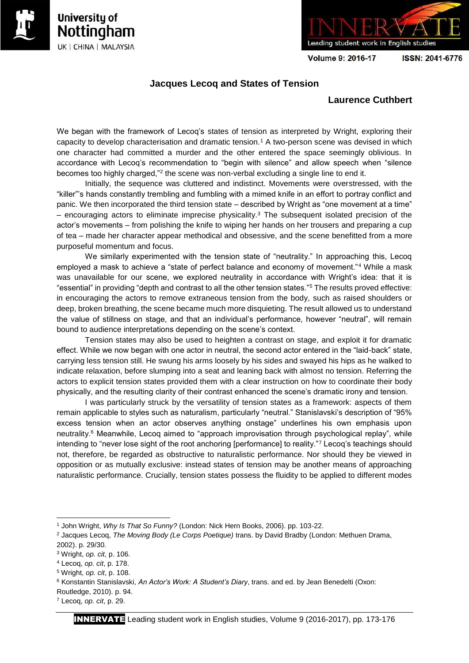





Volume 9: 2016-17

ISSN: 2041-6776

## **Jacques Lecoq and States of Tension**

## **Laurence Cuthbert**

We began with the framework of Lecoq's states of tension as interpreted by Wright, exploring their capacity to develop characterisation and dramatic tension.<sup>1</sup> A two-person scene was devised in which one character had committed a murder and the other entered the space seemingly oblivious. In accordance with Lecoq's recommendation to "begin with silence" and allow speech when "silence becomes too highly charged,"<sup>2</sup> the scene was non-verbal excluding a single line to end it.

Initially, the sequence was cluttered and indistinct. Movements were overstressed, with the "killer"'s hands constantly trembling and fumbling with a mimed knife in an effort to portray conflict and panic. We then incorporated the third tension state – described by Wright as "one movement at a time" – encouraging actors to eliminate imprecise physicality.<sup>3</sup> The subsequent isolated precision of the actor's movements – from polishing the knife to wiping her hands on her trousers and preparing a cup of tea – made her character appear methodical and obsessive, and the scene benefitted from a more purposeful momentum and focus.

We similarly experimented with the tension state of "neutrality." In approaching this, Lecoq employed a mask to achieve a "state of perfect balance and economy of movement."<sup>4</sup> While a mask was unavailable for our scene, we explored neutrality in accordance with Wright's idea: that it is "essential" in providing "depth and contrast to all the other tension states."<sup>5</sup> The results proved effective: in encouraging the actors to remove extraneous tension from the body, such as raised shoulders or deep, broken breathing, the scene became much more disquieting. The result allowed us to understand the value of stillness on stage, and that an individual's performance, however "neutral", will remain bound to audience interpretations depending on the scene's context.

Tension states may also be used to heighten a contrast on stage, and exploit it for dramatic effect. While we now began with one actor in neutral, the second actor entered in the "laid-back" state, carrying less tension still. He swung his arms loosely by his sides and swayed his hips as he walked to indicate relaxation, before slumping into a seat and leaning back with almost no tension. Referring the actors to explicit tension states provided them with a clear instruction on how to coordinate their body physically, and the resulting clarity of their contrast enhanced the scene's dramatic irony and tension.

I was particularly struck by the versatility of tension states as a framework: aspects of them remain applicable to styles such as naturalism, particularly "neutral." Stanislavski's description of "95% excess tension when an actor observes anything onstage" underlines his own emphasis upon neutrality.<sup>6</sup> Meanwhile, Lecoq aimed to "approach improvisation through psychological replay", while intending to "never lose sight of the root anchoring [performance] to reality."<sup>7</sup> Lecoq's teachings should not, therefore, be regarded as obstructive to naturalistic performance. Nor should they be viewed in opposition or as mutually exclusive: instead states of tension may be another means of approaching naturalistic performance. Crucially, tension states possess the fluidity to be applied to different modes

 $\overline{a}$ 

<sup>1</sup> John Wright, *Why Is That So Funny?* (London: Nick Hern Books, 2006). pp. 103-22.

<sup>2</sup> Jacques Lecoq, *The Moving Body (Le Corps Poetique)* trans. by David Bradby (London: Methuen Drama, 2002). p. 29/30.

<sup>3</sup> Wright, *op. cit*, p. 106.

<sup>4</sup> Lecoq, *op. cit*, p. 178.

<sup>5</sup> Wright, *op. cit*, p. 108.

<sup>6</sup> Konstantin Stanislavski, *An Actor's Work: A Student's Diary*, trans. and ed. by Jean Benedelti (Oxon: Routledge, 2010). p. 94.

<sup>7</sup> Lecoq, *op. cit*, p. 29.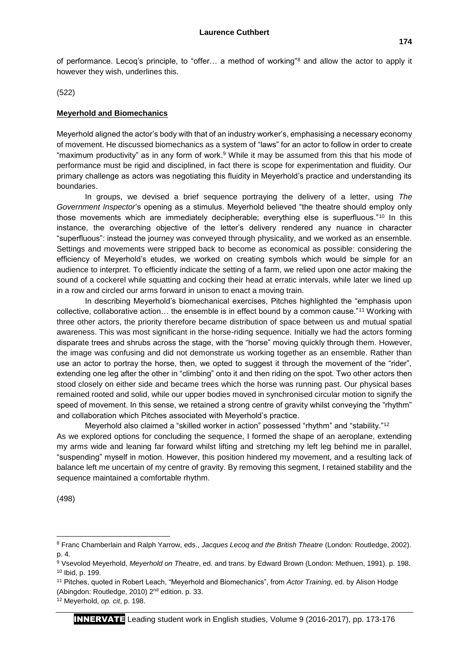of performance. Lecoq's principle, to "offer… a method of working"<sup>8</sup> and allow the actor to apply it however they wish, underlines this.

(522)

## **Meyerhold and Biomechanics**

Meyerhold aligned the actor's body with that of an industry worker's, emphasising a necessary economy of movement. He discussed biomechanics as a system of "laws" for an actor to follow in order to create "maximum productivity" as in any form of work.<sup>9</sup> While it may be assumed from this that his mode of performance must be rigid and disciplined, in fact there is scope for experimentation and fluidity. Our primary challenge as actors was negotiating this fluidity in Meyerhold's practice and understanding its boundaries.

In groups, we devised a brief sequence portraying the delivery of a letter, using *The Government Inspector*'s opening as a stimulus. Meyerhold believed "the theatre should employ only those movements which are immediately decipherable; everything else is superfluous."<sup>10</sup> In this instance, the overarching objective of the letter's delivery rendered any nuance in character "superfluous": instead the journey was conveyed through physicality, and we worked as an ensemble. Settings and movements were stripped back to become as economical as possible: considering the efficiency of Meyerhold's etudes, we worked on creating symbols which would be simple for an audience to interpret. To efficiently indicate the setting of a farm, we relied upon one actor making the sound of a cockerel while squatting and cocking their head at erratic intervals, while later we lined up in a row and circled our arms forward in unison to enact a moving train.

In describing Meyerhold's biomechanical exercises, Pitches highlighted the "emphasis upon collective, collaborative action… the ensemble is in effect bound by a common cause."<sup>11</sup> Working with three other actors, the priority therefore became distribution of space between us and mutual spatial awareness. This was most significant in the horse-riding sequence. Initially we had the actors forming disparate trees and shrubs across the stage, with the "horse" moving quickly through them. However, the image was confusing and did not demonstrate us working together as an ensemble. Rather than use an actor to portray the horse, then, we opted to suggest it through the movement of the "rider", extending one leg after the other in "climbing" onto it and then riding on the spot. Two other actors then stood closely on either side and became trees which the horse was running past. Our physical bases remained rooted and solid, while our upper bodies moved in synchronised circular motion to signify the speed of movement. In this sense, we retained a strong centre of gravity whilst conveying the "rhythm" and collaboration which Pitches associated with Meyerhold's practice.

Meyerhold also claimed a "skilled worker in action" possessed "rhythm" and "stability."<sup>12</sup> As we explored options for concluding the sequence, I formed the shape of an aeroplane, extending my arms wide and leaning far forward whilst lifting and stretching my left leg behind me in parallel, "suspending" myself in motion. However, this position hindered my movement, and a resulting lack of balance left me uncertain of my centre of gravity. By removing this segment, I retained stability and the sequence maintained a comfortable rhythm.

(498)

1

<sup>8</sup> Franc Chamberlain and Ralph Yarrow, eds., *Jacques Lecoq and the British Theatre* (London: Routledge, 2002). p. 4.

<sup>9</sup> Vsevolod Meyerhold, *Meyerhold on Theatre*, ed. and trans. by Edward Brown (London: Methuen, 1991). p. 198. <sup>10</sup> Ibid, p. 199.

<sup>11</sup> Pitches, quoted in Robert Leach, "Meyerhold and Biomechanics", from *Actor Training*, ed. by Alison Hodge (Abingdon: Routledge, 2010) 2nd edition. p. 33.

<sup>12</sup> Meyerhold, *op. cit*, p. 198.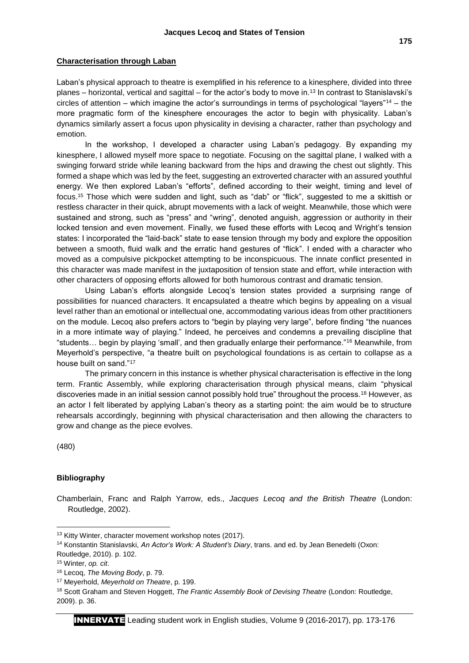Laban's physical approach to theatre is exemplified in his reference to a kinesphere, divided into three planes – horizontal, vertical and sagittal – for the actor's body to move in.<sup>13</sup> In contrast to Stanislavski's circles of attention – which imagine the actor's surroundings in terms of psychological "layers"<sup>14</sup> – the more pragmatic form of the kinesphere encourages the actor to begin with physicality. Laban's dynamics similarly assert a focus upon physicality in devising a character, rather than psychology and emotion.

In the workshop, I developed a character using Laban's pedagogy. By expanding my kinesphere, I allowed myself more space to negotiate. Focusing on the sagittal plane, I walked with a swinging forward stride while leaning backward from the hips and drawing the chest out slightly. This formed a shape which was led by the feet, suggesting an extroverted character with an assured youthful energy. We then explored Laban's "efforts", defined according to their weight, timing and level of focus.<sup>15</sup> Those which were sudden and light, such as "dab" or "flick", suggested to me a skittish or restless character in their quick, abrupt movements with a lack of weight. Meanwhile, those which were sustained and strong, such as "press" and "wring", denoted anguish, aggression or authority in their locked tension and even movement. Finally, we fused these efforts with Lecoq and Wright's tension states: I incorporated the "laid-back" state to ease tension through my body and explore the opposition between a smooth, fluid walk and the erratic hand gestures of "flick". I ended with a character who moved as a compulsive pickpocket attempting to be inconspicuous. The innate conflict presented in this character was made manifest in the juxtaposition of tension state and effort, while interaction with other characters of opposing efforts allowed for both humorous contrast and dramatic tension.

Using Laban's efforts alongside Lecoq's tension states provided a surprising range of possibilities for nuanced characters. It encapsulated a theatre which begins by appealing on a visual level rather than an emotional or intellectual one, accommodating various ideas from other practitioners on the module. Lecoq also prefers actors to "begin by playing very large", before finding "the nuances in a more intimate way of playing." Indeed, he perceives and condemns a prevailing discipline that "students… begin by playing 'small', and then gradually enlarge their performance."<sup>16</sup> Meanwhile, from Meyerhold's perspective, "a theatre built on psychological foundations is as certain to collapse as a house built on sand."<sup>17</sup>

The primary concern in this instance is whether physical characterisation is effective in the long term. Frantic Assembly, while exploring characterisation through physical means, claim "physical discoveries made in an initial session cannot possibly hold true" throughout the process.<sup>18</sup> However, as an actor I felt liberated by applying Laban's theory as a starting point: the aim would be to structure rehearsals accordingly, beginning with physical characterisation and then allowing the characters to grow and change as the piece evolves.

(480)

1

## **Bibliography**

Chamberlain, Franc and Ralph Yarrow, eds., *Jacques Lecoq and the British Theatre* (London: Routledge, 2002).

<sup>&</sup>lt;sup>13</sup> Kitty Winter, character movement workshop notes (2017).

<sup>14</sup> Konstantin Stanislavski, *An Actor's Work: A Student's Diary*, trans. and ed. by Jean Benedelti (Oxon: Routledge, 2010). p. 102.

<sup>15</sup> Winter, *op. cit*.

<sup>16</sup> Lecoq, *The Moving Body*, p. 79.

<sup>17</sup> Meyerhold, *Meyerhold on Theatre*, p. 199.

<sup>&</sup>lt;sup>18</sup> Scott Graham and Steven Hoggett, *The Frantic Assembly Book of Devising Theatre* (London: Routledge, 2009). p. 36.